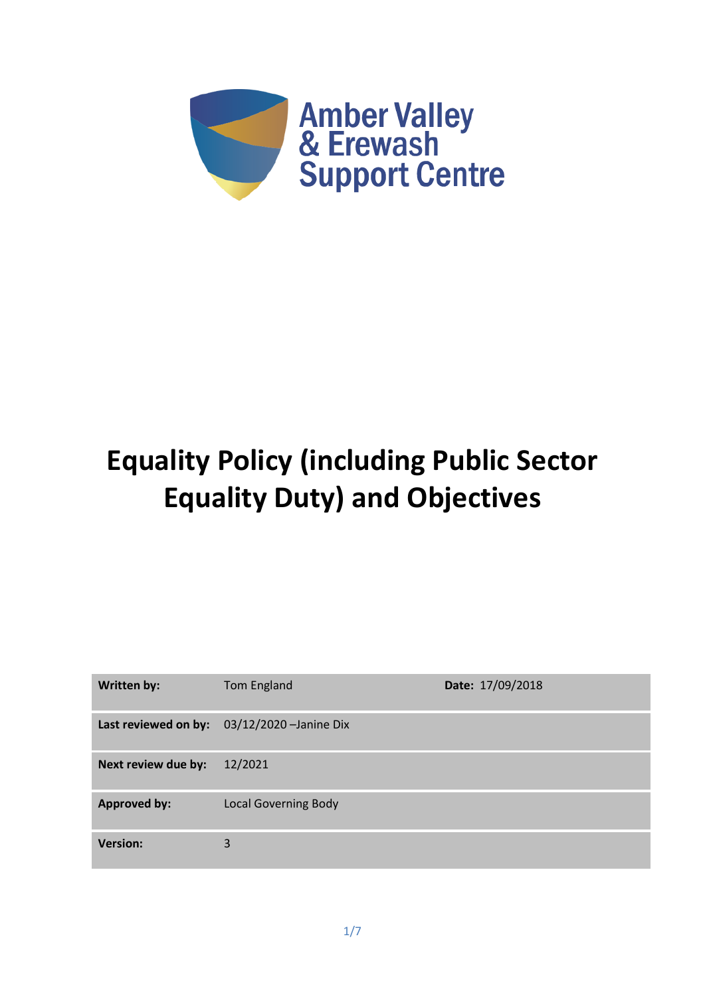

# **Equality Policy (including Public Sector Equality Duty) and Objectives**

| Written by:         | Tom England                                   | Date: 17/09/2018 |
|---------------------|-----------------------------------------------|------------------|
|                     | Last reviewed on by: $03/12/2020$ -Janine Dix |                  |
| Next review due by: | 12/2021                                       |                  |
| <b>Approved by:</b> | <b>Local Governing Body</b>                   |                  |
| <b>Version:</b>     | 3                                             |                  |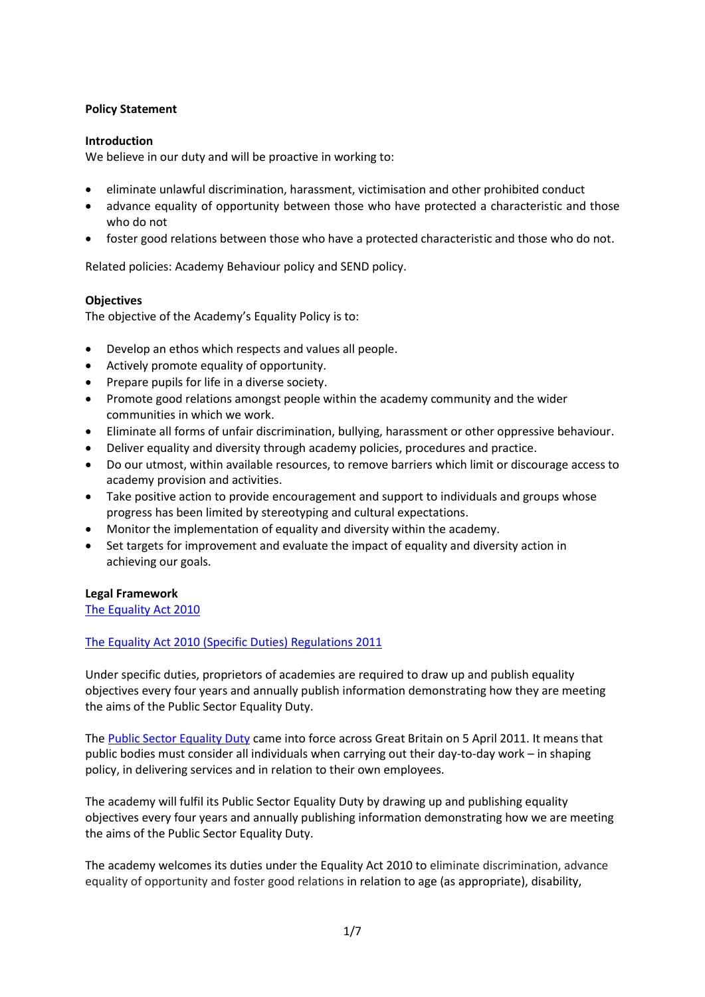# **Policy Statement**

## **Introduction**

We believe in our duty and will be proactive in working to:

- eliminate unlawful discrimination, harassment, victimisation and other prohibited conduct
- advance equality of opportunity between those who have protected a characteristic and those who do not
- foster good relations between those who have a protected characteristic and those who do not.

Related policies: Academy Behaviour policy and SEND policy.

## **Objectives**

The objective of the Academy's Equality Policy is to:

- Develop an ethos which respects and values all people.
- Actively promote equality of opportunity.
- Prepare pupils for life in a diverse society.
- Promote good relations amongst people within the academy community and the wider communities in which we work.
- Eliminate all forms of unfair discrimination, bullying, harassment or other oppressive behaviour.
- Deliver equality and diversity through academy policies, procedures and practice.
- Do our utmost, within available resources, to remove barriers which limit or discourage access to academy provision and activities.
- Take positive action to provide encouragement and support to individuals and groups whose progress has been limited by stereotyping and cultural expectations.
- Monitor the implementation of equality and diversity within the academy.
- Set targets for improvement and evaluate the impact of equality and diversity action in achieving our goals.

## **Legal Framework**

# [The Equality Act 2010](http://www.legislation.gov.uk/ukpga/2010/15/contents)

# [The Equality Act 2010 \(Specific Duties\) Regulations 2011](http://www.legislation.gov.uk/uksi/2011/2260/contents/made)

Under specific duties, proprietors of academies are required to draw up and publish equality objectives every four years and annually publish information demonstrating how they are meeting the aims of the Public Sector Equality Duty.

The [Public Sector Equality Duty](http://www.legislation.gov.uk/ukpga/2010/15/section/149) came into force across Great Britain on 5 April 2011. It means that public bodies must consider all individuals when carrying out their day-to-day work – in shaping policy, in delivering services and in relation to their own employees.

The academy will fulfil its Public Sector Equality Duty by drawing up and publishing equality objectives every four years and annually publishing information demonstrating how we are meeting the aims of the Public Sector Equality Duty.

The academy welcomes its duties under the Equality Act 2010 to eliminate discrimination, advance equality of opportunity and foster good relations in relation to age (as appropriate), disability,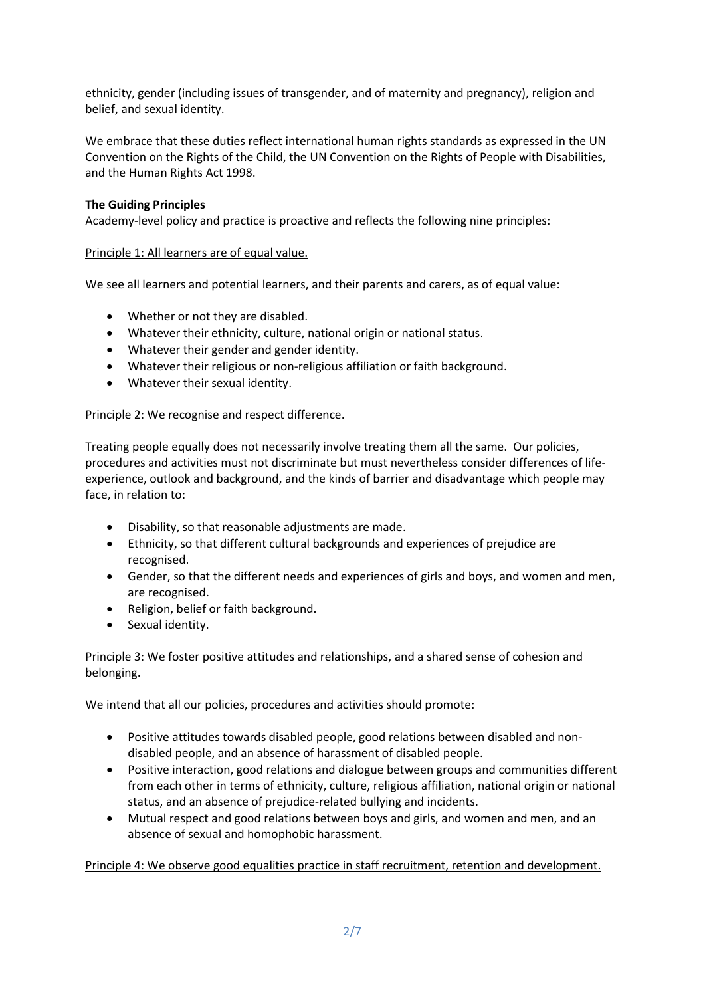ethnicity, gender (including issues of transgender, and of maternity and pregnancy), religion and belief, and sexual identity.

We embrace that these duties reflect international human rights standards as expressed in the UN Convention on the Rights of the Child, the UN Convention on the Rights of People with Disabilities, and the Human Rights Act 1998.

# **The Guiding Principles**

Academy-level policy and practice is proactive and reflects the following nine principles:

## Principle 1: All learners are of equal value.

We see all learners and potential learners, and their parents and carers, as of equal value:

- Whether or not they are disabled.
- Whatever their ethnicity, culture, national origin or national status.
- Whatever their gender and gender identity.
- Whatever their religious or non-religious affiliation or faith background.
- Whatever their sexual identity.

## Principle 2: We recognise and respect difference.

Treating people equally does not necessarily involve treating them all the same. Our policies, procedures and activities must not discriminate but must nevertheless consider differences of lifeexperience, outlook and background, and the kinds of barrier and disadvantage which people may face, in relation to:

- Disability, so that reasonable adjustments are made.
- Ethnicity, so that different cultural backgrounds and experiences of prejudice are recognised.
- Gender, so that the different needs and experiences of girls and boys, and women and men, are recognised.
- Religion, belief or faith background.
- Sexual identity.

# Principle 3: We foster positive attitudes and relationships, and a shared sense of cohesion and belonging.

We intend that all our policies, procedures and activities should promote:

- Positive attitudes towards disabled people, good relations between disabled and nondisabled people, and an absence of harassment of disabled people.
- Positive interaction, good relations and dialogue between groups and communities different from each other in terms of ethnicity, culture, religious affiliation, national origin or national status, and an absence of prejudice-related bullying and incidents.
- Mutual respect and good relations between boys and girls, and women and men, and an absence of sexual and homophobic harassment.

Principle 4: We observe good equalities practice in staff recruitment, retention and development.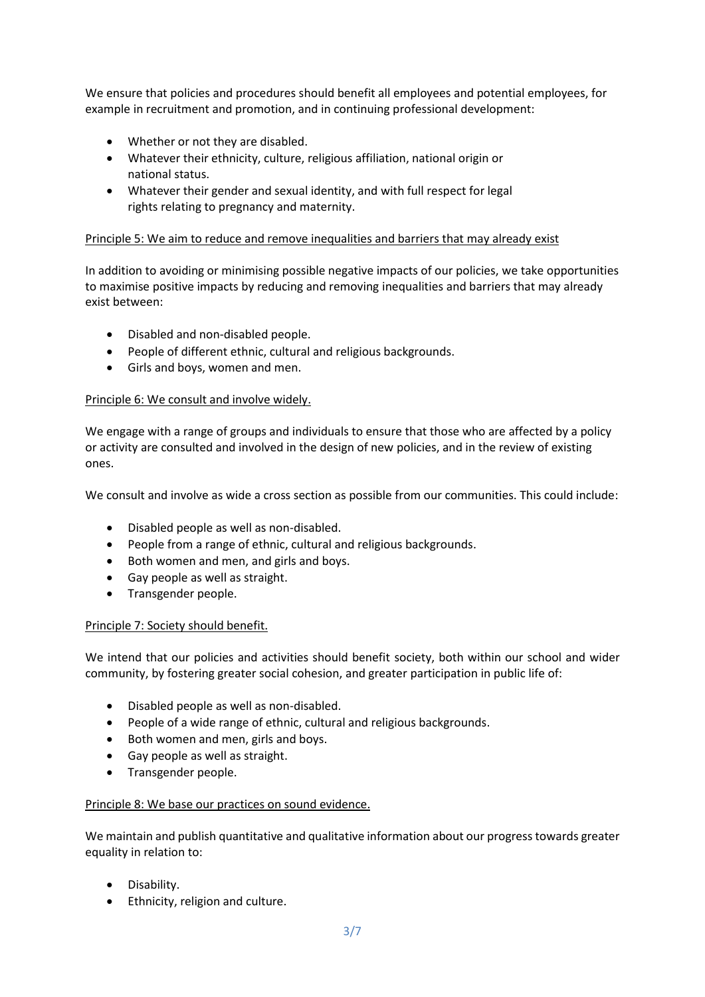We ensure that policies and procedures should benefit all employees and potential employees, for example in recruitment and promotion, and in continuing professional development:

- Whether or not they are disabled.
- Whatever their ethnicity, culture, religious affiliation, national origin or national status.
- Whatever their gender and sexual identity, and with full respect for legal rights relating to pregnancy and maternity.

# Principle 5: We aim to reduce and remove inequalities and barriers that may already exist

In addition to avoiding or minimising possible negative impacts of our policies, we take opportunities to maximise positive impacts by reducing and removing inequalities and barriers that may already exist between:

- Disabled and non-disabled people.
- People of different ethnic, cultural and religious backgrounds.
- Girls and boys, women and men.

## Principle 6: We consult and involve widely.

We engage with a range of groups and individuals to ensure that those who are affected by a policy or activity are consulted and involved in the design of new policies, and in the review of existing ones.

We consult and involve as wide a cross section as possible from our communities. This could include:

- Disabled people as well as non-disabled.
- People from a range of ethnic, cultural and religious backgrounds.
- Both women and men, and girls and boys.
- Gay people as well as straight.
- Transgender people.

## Principle 7: Society should benefit.

We intend that our policies and activities should benefit society, both within our school and wider community, by fostering greater social cohesion, and greater participation in public life of:

- Disabled people as well as non-disabled.
- People of a wide range of ethnic, cultural and religious backgrounds.
- Both women and men, girls and boys.
- Gay people as well as straight.
- Transgender people.

## Principle 8: We base our practices on sound evidence.

We maintain and publish quantitative and qualitative information about our progress towards greater equality in relation to:

- Disability.
- Ethnicity, religion and culture.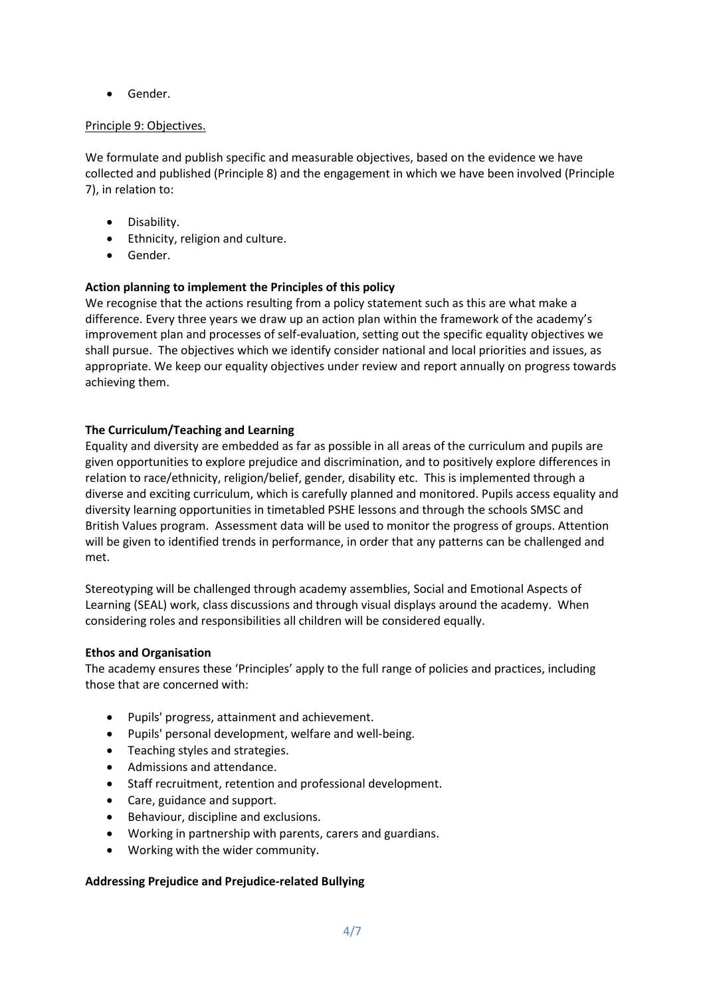• Gender.

# Principle 9: Objectives.

We formulate and publish specific and measurable objectives, based on the evidence we have collected and published (Principle 8) and the engagement in which we have been involved (Principle 7), in relation to:

- Disability.
- Ethnicity, religion and culture.
- Gender.

# **Action planning to implement the Principles of this policy**

We recognise that the actions resulting from a policy statement such as this are what make a difference. Every three years we draw up an action plan within the framework of the academy's improvement plan and processes of self-evaluation, setting out the specific equality objectives we shall pursue. The objectives which we identify consider national and local priorities and issues, as appropriate. We keep our equality objectives under review and report annually on progress towards achieving them.

## **The Curriculum/Teaching and Learning**

Equality and diversity are embedded as far as possible in all areas of the curriculum and pupils are given opportunities to explore prejudice and discrimination, and to positively explore differences in relation to race/ethnicity, religion/belief, gender, disability etc. This is implemented through a diverse and exciting curriculum, which is carefully planned and monitored. Pupils access equality and diversity learning opportunities in timetabled PSHE lessons and through the schools SMSC and British Values program. Assessment data will be used to monitor the progress of groups. Attention will be given to identified trends in performance, in order that any patterns can be challenged and met.

Stereotyping will be challenged through academy assemblies, Social and Emotional Aspects of Learning (SEAL) work, class discussions and through visual displays around the academy. When considering roles and responsibilities all children will be considered equally.

## **Ethos and Organisation**

The academy ensures these 'Principles' apply to the full range of policies and practices, including those that are concerned with:

- Pupils' progress, attainment and achievement.
- Pupils' personal development, welfare and well-being.
- Teaching styles and strategies.
- Admissions and attendance.
- Staff recruitment, retention and professional development.
- Care, guidance and support.
- Behaviour, discipline and exclusions.
- Working in partnership with parents, carers and guardians.
- Working with the wider community.

# **Addressing Prejudice and Prejudice-related Bullying**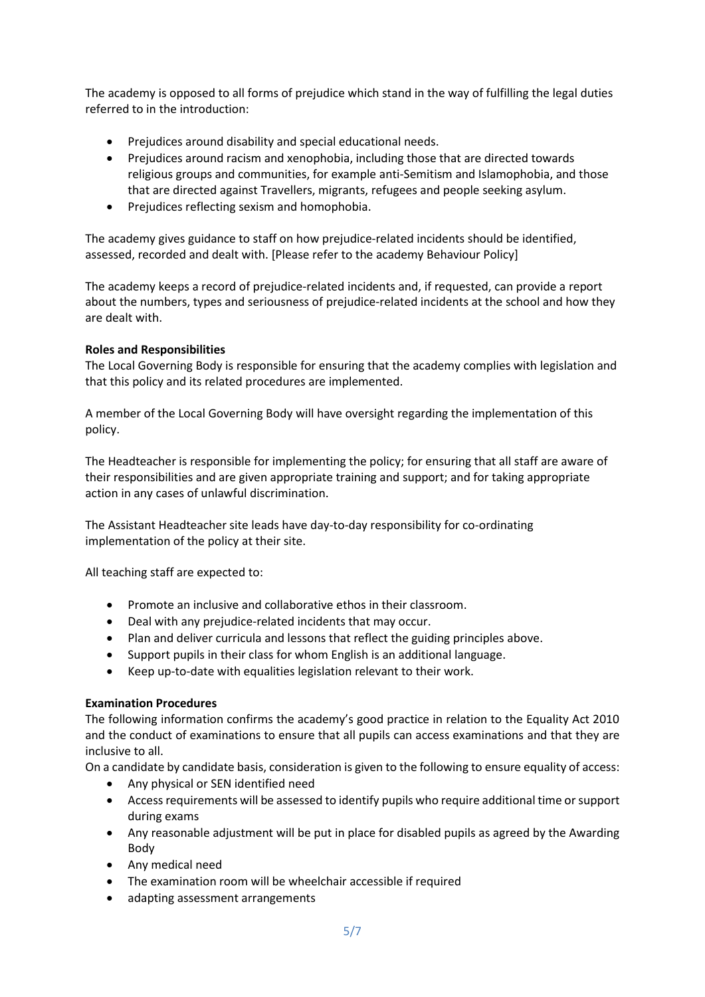The academy is opposed to all forms of prejudice which stand in the way of fulfilling the legal duties referred to in the introduction:

- Prejudices around disability and special educational needs.
- Prejudices around racism and xenophobia, including those that are directed towards religious groups and communities, for example anti-Semitism and Islamophobia, and those that are directed against Travellers, migrants, refugees and people seeking asylum.
- Prejudices reflecting sexism and homophobia.

The academy gives guidance to staff on how prejudice-related incidents should be identified, assessed, recorded and dealt with. [Please refer to the academy Behaviour Policy]

The academy keeps a record of prejudice-related incidents and, if requested, can provide a report about the numbers, types and seriousness of prejudice-related incidents at the school and how they are dealt with.

# **Roles and Responsibilities**

The Local Governing Body is responsible for ensuring that the academy complies with legislation and that this policy and its related procedures are implemented.

A member of the Local Governing Body will have oversight regarding the implementation of this policy.

The Headteacher is responsible for implementing the policy; for ensuring that all staff are aware of their responsibilities and are given appropriate training and support; and for taking appropriate action in any cases of unlawful discrimination.

The Assistant Headteacher site leads have day-to-day responsibility for co-ordinating implementation of the policy at their site.

All teaching staff are expected to:

- Promote an inclusive and collaborative ethos in their classroom.
- Deal with any prejudice-related incidents that may occur.
- Plan and deliver curricula and lessons that reflect the guiding principles above.
- Support pupils in their class for whom English is an additional language.
- Keep up-to-date with equalities legislation relevant to their work.

# **Examination Procedures**

The following information confirms the academy's good practice in relation to the Equality Act 2010 and the conduct of examinations to ensure that all pupils can access examinations and that they are inclusive to all.

On a candidate by candidate basis, consideration is given to the following to ensure equality of access:

- Any physical or SEN identified need
- Access requirements will be assessed to identify pupils who require additional time or support during exams
- Any reasonable adjustment will be put in place for disabled pupils as agreed by the Awarding Body
- Any medical need
- The examination room will be wheelchair accessible if required
- adapting assessment arrangements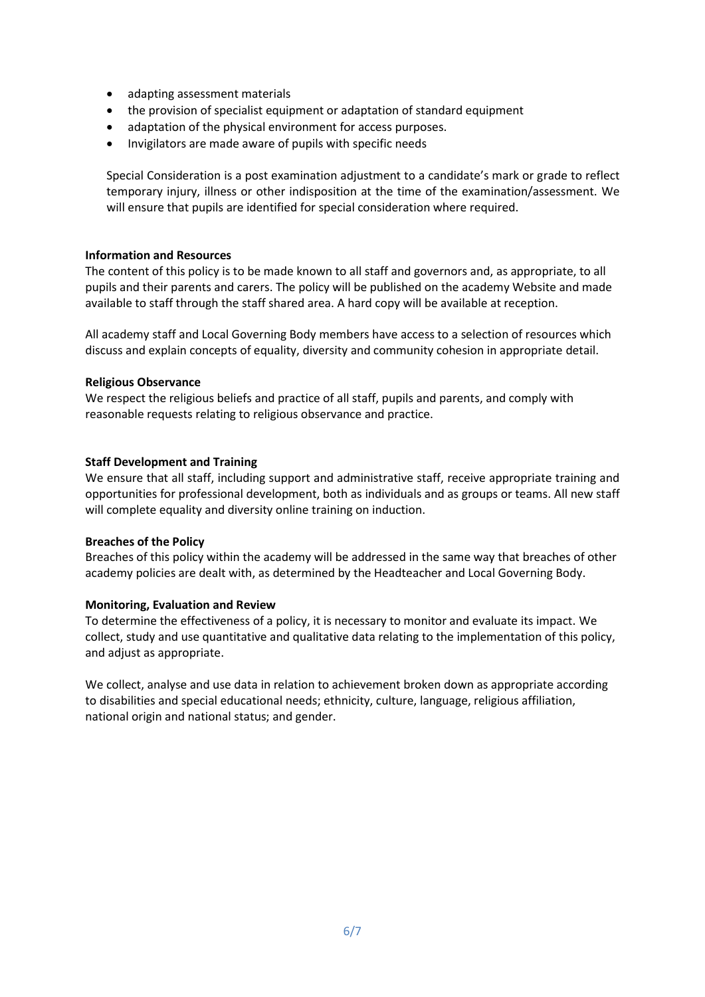- adapting assessment materials
- the provision of specialist equipment or adaptation of standard equipment
- adaptation of the physical environment for access purposes.
- Invigilators are made aware of pupils with specific needs

Special Consideration is a post examination adjustment to a candidate's mark or grade to reflect temporary injury, illness or other indisposition at the time of the examination/assessment. We will ensure that pupils are identified for special consideration where required.

#### **Information and Resources**

The content of this policy is to be made known to all staff and governors and, as appropriate, to all pupils and their parents and carers. The policy will be published on the academy Website and made available to staff through the staff shared area. A hard copy will be available at reception.

All academy staff and Local Governing Body members have access to a selection of resources which discuss and explain concepts of equality, diversity and community cohesion in appropriate detail.

#### **Religious Observance**

We respect the religious beliefs and practice of all staff, pupils and parents, and comply with reasonable requests relating to religious observance and practice.

#### **Staff Development and Training**

We ensure that all staff, including support and administrative staff, receive appropriate training and opportunities for professional development, both as individuals and as groups or teams. All new staff will complete equality and diversity online training on induction.

#### **Breaches of the Policy**

Breaches of this policy within the academy will be addressed in the same way that breaches of other academy policies are dealt with, as determined by the Headteacher and Local Governing Body.

## **Monitoring, Evaluation and Review**

To determine the effectiveness of a policy, it is necessary to monitor and evaluate its impact. We collect, study and use quantitative and qualitative data relating to the implementation of this policy, and adjust as appropriate.

We collect, analyse and use data in relation to achievement broken down as appropriate according to disabilities and special educational needs; ethnicity, culture, language, religious affiliation, national origin and national status; and gender.